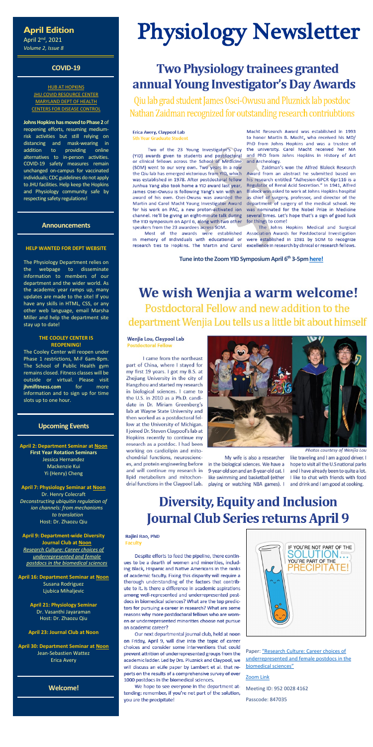### **April Edition**

April 2nd, 2021 *Volume 2, Issue 8*

#### **COVID-19**

**[HUB AT HOPKINS](https://hub.jhu.edu/novel-coronavirus-information/) JHU COVID [RESOURCE CENTER](https://coronavirus.jhu.edu/)** [MARYLAND DEPT OF HEALTH](https://coronavirus.maryland.gov/) [CENTERS FOR DISEASE CONTROL](https://www.cdc.gov/coronavirus/2019-ncov/index.html)

**Johns Hopkins has moved to Phase 2** of reopening efforts, resuming mediumrisk activities but still relying on distancing and mask-wearing in addition to providing online alternatives to in-person activities. COVID-19 safety measures remain unchanged on-campus for vaccinated individuals; CDC guidelines do not apply to JHU facilities. Help keep the Hopkins and Physiology community safe by respecting safety regulations!

#### **Announcements**

#### **HELP WANTED FOR DEPT WEBSITE**

The Physiology Department relies on the webpage to disseminate information to members of our department and the wider world. As the academic year ramps up, many updates are made to the site! If you have any skills in HTML, CSS, or any other web language, email Marsha Miller and help the department site stay up to date!

#### **THE COOLEY CENTER IS REOPENING!**

Paper: "Research Culture: Career choices of [underrepresented and female postdocs in the](https://elifesciences.org/articles/48774)  [biomedical sciences"](https://elifesciences.org/articles/48774)

The Cooley Center will reopen under Phase 1 restrictions, M-F 6am-8pm. The School of Public Health gym remains closed. Fitness classes will be outside or virtual. Please visit **[jhmifitness.com](https://www.jhmifitness.com/)** for more information and to sign up for time slots up to one hour.

#### **Upcoming Events**

**April 2: Department Seminar a[t Noon](https://jhjhm.zoom.us/j/93393728407?pwd=RXpVQ2VVazJOVCtIMGl0Rlpsa0RiQT09) First Year Rotation Seminars** Jessica Hernandez Mackenzie Kui Yi (Henry) Cheng

**April 7: Physiology Seminar at [Noon](https://jhjhm.zoom.us/j/98014418008?pwd=cmorbUU0Sm9xM2VXZUlVZ2ptTHVVUT09)** Dr. Henry Colecraft *Deconstructing ubiquitin regulation of ion channels: from mechanisms to translation* Host: Dr. Zhaozu Qiu

**April 9: Department-wide Diversity Journal Club at [Noon](https://jhjhm.zoom.us/j/95200284162?pwd=Q0lYbWY2T2szWEtveHBjYWxuM1NlUT09)**

*[Research Culture: Career choices of](https://elifesciences.org/articles/48774)  [underrepresented and female](https://elifesciences.org/articles/48774)  [postdocs in the biomedical sciences](https://elifesciences.org/articles/48774)*

**April 16: Department Seminar a[t Noon](https://jhjhm.zoom.us/j/93393728407?pwd=RXpVQ2VVazJOVCtIMGl0Rlpsa0RiQT09)** Susana Rodriguez Ljubica Mihaljevic

> **April 21: Physiology Seminar** Dr. Vasanthi Jayaraman Host: Dr. Zhaozu Qiu

#### **April 23: Journal Club at Noon**

**April 30: Department Seminar a[t Noon](https://jhjhm.zoom.us/j/93393728407?pwd=RXpVQ2VVazJOVCtIMGl0Rlpsa0RiQT09)** Jean-Sebastien Wattez Erica Avery

#### **Welcome!**

Photos courtesy of Wenjia Lou

My wife is also a researcher in the biological sciences. We have a 9-year-old son and an 8-year-old cat. I like swimming and basketball (either playing or watching NBA games). I

like traveling and I am a good driver. I hope to visit all the U.S national parks and I have already been to quite a lot. I like to chat with friends with food and drink and I am good at cooking.

# **Diversity, Equity and Inclusion Journal Club Series returns April 9**

#### Rajini Rao, PhD **Faculty**

Despite efforts to feed the pipeline, there continues to be a dearth of women and minorities, including Black, Hispanic and Native Americans in the ranks of academic faculty. Fixing this disparity will require a thorough understanding of the factors that contribute to it. Is there a difference in academic aspirations among well-represented and underrepresented postdocs in biomedical sciences? What are the top predictors for pursuing a career in research? What are some reasons why more postdoctoral fellows who are women or underrepresented minorities choose not pursue an academic career?

Our next departmental journal club, held at noon on Friday, April 9, will dive into the topic of career choices and consider some interventions that could prevent attrition of underrepresented groups from the academic ladder. Led by Drs. Pluznick and Claypool, we will discuss an eLife paper by Lambert et al. that reports on the results of a comprehensive survey of over 1000 postdocs in the biomedical sciences.

We hope to see everyone in the department attending: remember, if you're not part of the solution, you are the precipitate!



# Physiology Newsletter

# **Two Physiology trainees granted** annual Young Investigator's Day Awards

Qiu lab grad student James Osei-Owusu and Pluznick lab postdoc Nathan Zaidman recognized for outstanding research contriubtions

#### **Erica Avery, Claypool Lab 5th Year Graduate Student**

Two of the 23 Young Investigator's Day (YID) awards given to students and postdoctoral or clinical fellows across the School of Medicine (SOM) went to our very own. Two years in a row the Qiu lab has emerged victorious from YID, which was established in 1978. After postdoctoral fellow Junhua Yang also took home a YID award last year, James Osei-Owusu is following Yang's win with an award of his own. Osei-Owusu was awarded the Martin and Carol Macht Young Investigator Award for his work on PAC, a new proton-activated ion channel. He'll be giving an eight-minute talk during the YID symposium on April 6, along with two other speakers from the 23 awardees across SOM.

in memory of individuals with educational or

Macht Research Award was established in 1993 to honor Martin B. Macht, who received his MD/ PhD from Johns Hopkins and was a trustee of the university. Carol Macht received her MA and PhD from Johns Hopkins in History of Art and Archeology.

Zaidman's won the Alfred Blalock Research Award from an abstract he submitted based on his research entitled "Adhesion-GPCR Gpr116 is a Regulator of Renal Acid Secretion." In 1941, Alfred Blalock was asked to work at Johns Hopkins hospital as chief of surgery, professor, and director of the department of surgery of the medical school. He was nominated for the Nobel Prize in Medicine several times. Let's hope that's a sign of good luck for things to come!

The Johns Hopkins Medical and Surgical Most of the awards were established Association Awards for Postdoctoral Investigation were established in 1981 by SOM to recognize research ties to Hopkins. The Martin and Carol excellence in research by clinical or research fellows.

**Tune into the Zoom YIDSymposium April 6th 3-5pm [here!](https://jhjhm.zoom.us/j/94086297911?pwd=d0U5M2E3QmZjQjN2YWRjTlF5YXZBdz09)**

## We wish Wenjia a warm welcome! Postdoctoral Fellow and new addition to the department Wenjia Lou tells us a little bit about himself

Wenjia Lou, Claypool Lab **Postdoctoral Fellow** 

I came from the northeast part of China, where I stayed for my first 19 years. I got my B.S. at Zhejiang University in the city of Hangzhou and started my research in biological sciences. I came to the U.S. in 2010 as a Ph.D. candidate in Dr. Miriam Greenberg's lab at Wayne State University and then worked as a postdoctoral fellow at the University of Michigan. I joined Dr. Steven Claypool's lab at Hopkins recently to continue my research as a postdoc. I had been working on cardiolipin and mitochondrial functions, neurosciences, and protein engineering before and will continue my research in lipid metabolism and mitochondrial functions in the Claypool Lab.



#### [Zoom Link](https://jhjhm.zoom.us/j/95200284162?pwd=Q0lYbWY2T2szWEtveHBjYWxuM1NlUT09)

Meeting ID: 952 0028 4162

Passcode: 847035